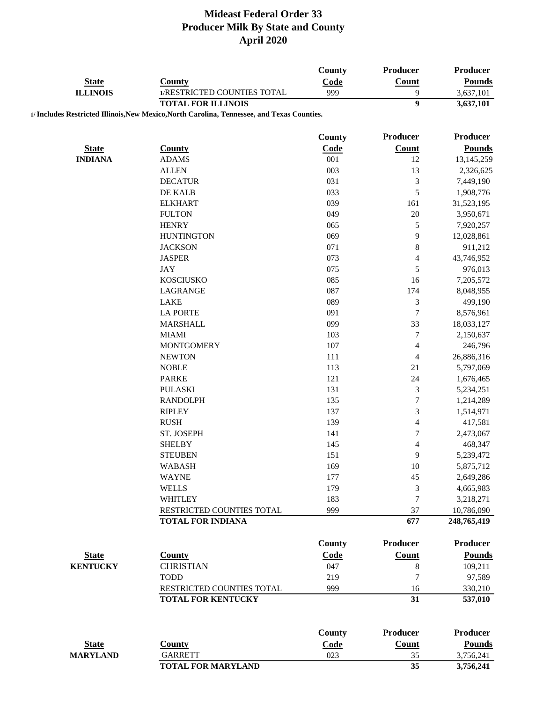| <b>State</b>    | <b>County</b>                                                                                                            | <b>County</b><br>Code | Producer<br><b>Count</b>    | <b>Producer</b><br><b>Pounds</b> |
|-----------------|--------------------------------------------------------------------------------------------------------------------------|-----------------------|-----------------------------|----------------------------------|
| <b>ILLINOIS</b> | 1/RESTRICTED COUNTIES TOTAL                                                                                              | 999                   | 9                           | 3,637,101                        |
|                 | <b>TOTAL FOR ILLINOIS</b><br>1/ Includes Restricted Illinois, New Mexico, North Carolina, Tennessee, and Texas Counties. |                       | $\overline{9}$              | 3,637,101                        |
|                 |                                                                                                                          |                       |                             |                                  |
|                 |                                                                                                                          | <b>County</b>         | Producer                    | Producer                         |
| <b>State</b>    | <b>County</b>                                                                                                            | Code                  | <b>Count</b>                | <b>Pounds</b>                    |
| <b>INDIANA</b>  | <b>ADAMS</b>                                                                                                             | 001                   | 12                          | 13,145,259                       |
|                 | <b>ALLEN</b>                                                                                                             | 003                   | 13                          | 2,326,625                        |
|                 | <b>DECATUR</b>                                                                                                           | 031                   | $\mathfrak{Z}$              | 7,449,190                        |
|                 | DE KALB                                                                                                                  | 033                   | 5                           | 1,908,776                        |
|                 | <b>ELKHART</b>                                                                                                           | 039                   | 161                         | 31,523,195                       |
|                 | <b>FULTON</b>                                                                                                            | 049                   | 20                          | 3,950,671                        |
|                 | <b>HENRY</b>                                                                                                             | 065                   | $\mathfrak s$               | 7,920,257                        |
|                 | <b>HUNTINGTON</b>                                                                                                        | 069                   | 9                           | 12,028,861                       |
|                 | <b>JACKSON</b>                                                                                                           | 071                   | $\,8\,$                     | 911,212                          |
|                 | <b>JASPER</b>                                                                                                            | 073                   | $\overline{4}$              | 43,746,952                       |
|                 | JAY                                                                                                                      | 075                   | 5                           | 976,013                          |
|                 | <b>KOSCIUSKO</b>                                                                                                         | 085                   | 16                          | 7,205,572                        |
|                 | <b>LAGRANGE</b>                                                                                                          | 087                   | 174                         | 8,048,955                        |
|                 | <b>LAKE</b>                                                                                                              | 089                   | $\ensuremath{\mathfrak{Z}}$ | 499,190                          |
|                 | <b>LA PORTE</b>                                                                                                          | 091                   | $\tau$                      | 8,576,961                        |
|                 | <b>MARSHALL</b>                                                                                                          | 099                   | 33                          | 18,033,127                       |
|                 | <b>MIAMI</b>                                                                                                             | 103                   | $\tau$                      |                                  |
|                 | <b>MONTGOMERY</b>                                                                                                        | 107                   |                             | 2,150,637                        |
|                 |                                                                                                                          |                       | $\overline{\mathcal{A}}$    | 246,796                          |
|                 | <b>NEWTON</b>                                                                                                            | 111                   | 4                           | 26,886,316                       |
|                 | <b>NOBLE</b>                                                                                                             | 113<br>121            | 21<br>24                    | 5,797,069                        |
|                 | <b>PARKE</b>                                                                                                             |                       |                             | 1,676,465                        |
|                 | <b>PULASKI</b>                                                                                                           | 131                   | $\sqrt{3}$                  | 5,234,251                        |
|                 | <b>RANDOLPH</b>                                                                                                          | 135                   | $\boldsymbol{7}$            | 1,214,289                        |
|                 | <b>RIPLEY</b>                                                                                                            | 137                   | $\mathfrak{Z}$              | 1,514,971                        |
|                 | <b>RUSH</b>                                                                                                              | 139                   | $\overline{4}$              | 417,581                          |
|                 | ST. JOSEPH                                                                                                               | 141                   | $\boldsymbol{7}$            | 2,473,067                        |
|                 | <b>SHELBY</b>                                                                                                            | 145                   | $\overline{4}$              | 468,347                          |
|                 | <b>STEUBEN</b>                                                                                                           | 151                   | 9                           | 5,239,472                        |
|                 | <b>WABASH</b>                                                                                                            | 169                   | 10                          | 5,875,712                        |
|                 | <b>WAYNE</b>                                                                                                             | 177                   | 45                          | 2,649,286                        |
|                 | <b>WELLS</b>                                                                                                             | 179                   | $\mathfrak{Z}$              | 4,665,983                        |
|                 | <b>WHITLEY</b>                                                                                                           | 183                   | 7                           | 3,218,271                        |
|                 | RESTRICTED COUNTIES TOTAL<br><b>TOTAL FOR INDIANA</b>                                                                    | 999                   | 37<br>677                   | 10,786,090<br>248,765,419        |
|                 |                                                                                                                          |                       |                             |                                  |
|                 |                                                                                                                          | County                | <b>Producer</b>             | <b>Producer</b>                  |
| <b>State</b>    | <b>County</b>                                                                                                            | Code                  | <b>Count</b>                | <b>Pounds</b>                    |
| <b>KENTUCKY</b> | <b>CHRISTIAN</b>                                                                                                         | 047                   | $\,8\,$                     | 109,211                          |
|                 | <b>TODD</b>                                                                                                              | 219                   | $\tau$                      | 97,589                           |
|                 | RESTRICTED COUNTIES TOTAL                                                                                                | 999                   | 16                          | 330,210                          |
|                 | <b>TOTAL FOR KENTUCKY</b>                                                                                                |                       | 31                          | 537,010                          |
|                 |                                                                                                                          |                       |                             |                                  |
|                 |                                                                                                                          | <b>County</b>         | <b>Producer</b>             | <b>Producer</b>                  |
| <b>State</b>    | <b>County</b>                                                                                                            | Code                  | Count                       | <b>Pounds</b>                    |
| <b>MARYLAND</b> | <b>GARRETT</b>                                                                                                           | 023                   | 35                          | 3,756,241                        |
|                 | <b>TOTAL FOR MARYLAND</b>                                                                                                |                       | 35                          | 3,756,241                        |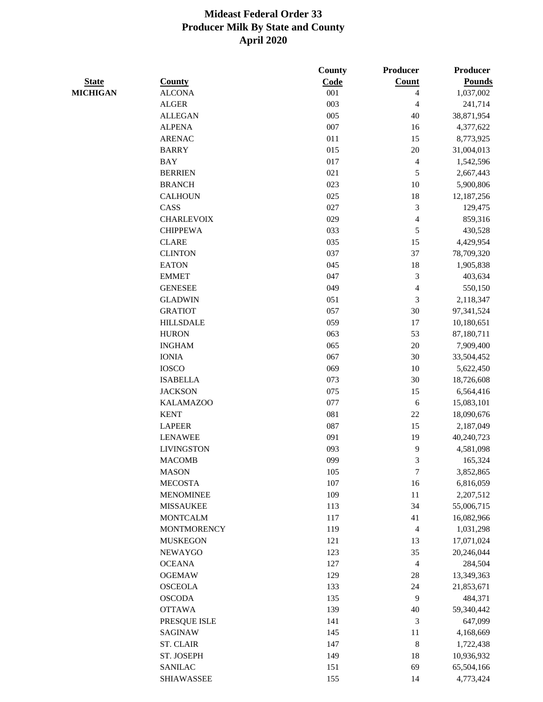|                 |                    | County     | Producer                 | <b>Producer</b> |
|-----------------|--------------------|------------|--------------------------|-----------------|
| <b>State</b>    | <b>County</b>      | Code       | Count                    | <b>Pounds</b>   |
| <b>MICHIGAN</b> | <b>ALCONA</b>      | 001        | $\overline{\mathbf{4}}$  | 1,037,002       |
|                 | <b>ALGER</b>       | 003        | 4                        | 241,714         |
|                 | <b>ALLEGAN</b>     | 005        | 40                       | 38,871,954      |
|                 | <b>ALPENA</b>      | 007        | 16                       | 4,377,622       |
|                 | <b>ARENAC</b>      | 011        | 15                       | 8,773,925       |
|                 | <b>BARRY</b>       | 015        | 20                       | 31,004,013      |
|                 | <b>BAY</b>         | 017        | $\overline{\mathbf{4}}$  | 1,542,596       |
|                 | <b>BERRIEN</b>     | 021        | 5                        | 2,667,443       |
|                 | <b>BRANCH</b>      | 023        | 10                       | 5,900,806       |
|                 | <b>CALHOUN</b>     | 025        | 18                       | 12,187,256      |
|                 | CASS               | 027        | 3                        | 129,475         |
|                 | <b>CHARLEVOIX</b>  | 029        | $\overline{\mathbf{4}}$  | 859,316         |
|                 | <b>CHIPPEWA</b>    | 033        | $\sqrt{5}$               | 430,528         |
|                 | <b>CLARE</b>       | 035        | 15                       | 4,429,954       |
|                 | <b>CLINTON</b>     | 037        | 37                       | 78,709,320      |
|                 | <b>EATON</b>       | 045        | 18                       | 1,905,838       |
|                 | <b>EMMET</b>       | 047        | 3                        | 403,634         |
|                 | <b>GENESEE</b>     | 049        | $\overline{\mathcal{L}}$ | 550,150         |
|                 | <b>GLADWIN</b>     | 051        | $\mathfrak{Z}$           | 2,118,347       |
|                 | <b>GRATIOT</b>     | 057        | 30                       | 97,341,524      |
|                 | <b>HILLSDALE</b>   | 059        | 17                       | 10,180,651      |
|                 | <b>HURON</b>       | 063        | 53                       | 87,180,711      |
|                 | <b>INGHAM</b>      | 065        | 20                       | 7,909,400       |
|                 | <b>IONIA</b>       | 067        | 30                       | 33,504,452      |
|                 | <b>IOSCO</b>       | 069        | 10                       | 5,622,450       |
|                 | <b>ISABELLA</b>    | 073        | 30                       | 18,726,608      |
|                 | <b>JACKSON</b>     | 075        | 15                       | 6,564,416       |
|                 | <b>KALAMAZOO</b>   | 077        | 6                        | 15,083,101      |
|                 | <b>KENT</b>        | 081        | $22\,$                   | 18,090,676      |
|                 | <b>LAPEER</b>      | 087        | 15                       | 2,187,049       |
|                 | <b>LENAWEE</b>     | 091        | 19                       | 40,240,723      |
|                 | <b>LIVINGSTON</b>  | 093        | 9                        | 4,581,098       |
|                 | <b>MACOMB</b>      | 099        | 3                        |                 |
|                 | <b>MASON</b>       |            | 7                        | 165,324         |
|                 |                    | 105<br>107 |                          | 3,852,865       |
|                 | <b>MECOSTA</b>     | 109        | 16<br>11                 | 6,816,059       |
|                 | <b>MENOMINEE</b>   |            |                          | 2,207,512       |
|                 | <b>MISSAUKEE</b>   | 113        | 34                       | 55,006,715      |
|                 | <b>MONTCALM</b>    | 117        | 41                       | 16,082,966      |
|                 | <b>MONTMORENCY</b> | 119        | $\overline{4}$           | 1,031,298       |
|                 | <b>MUSKEGON</b>    | 121        | 13                       | 17,071,024      |
|                 | <b>NEWAYGO</b>     | 123        | 35                       | 20,246,044      |
|                 | <b>OCEANA</b>      | 127        | $\overline{4}$           | 284,504         |
|                 | <b>OGEMAW</b>      | 129        | 28                       | 13,349,363      |
|                 | <b>OSCEOLA</b>     | 133        | 24                       | 21,853,671      |
|                 | <b>OSCODA</b>      | 135        | $\mathbf{9}$             | 484,371         |
|                 | <b>OTTAWA</b>      | 139        | $40\,$                   | 59,340,442      |
|                 | PRESQUE ISLE       | 141        | 3                        | 647,099         |
|                 | <b>SAGINAW</b>     | 145        | 11                       | 4,168,669       |
|                 | <b>ST. CLAIR</b>   | 147        | $\,8\,$                  | 1,722,438       |
|                 | ST. JOSEPH         | 149        | 18                       | 10,936,932      |
|                 | <b>SANILAC</b>     | 151        | 69                       | 65,504,166      |
|                 | <b>SHIAWASSEE</b>  | 155        | 14                       | 4,773,424       |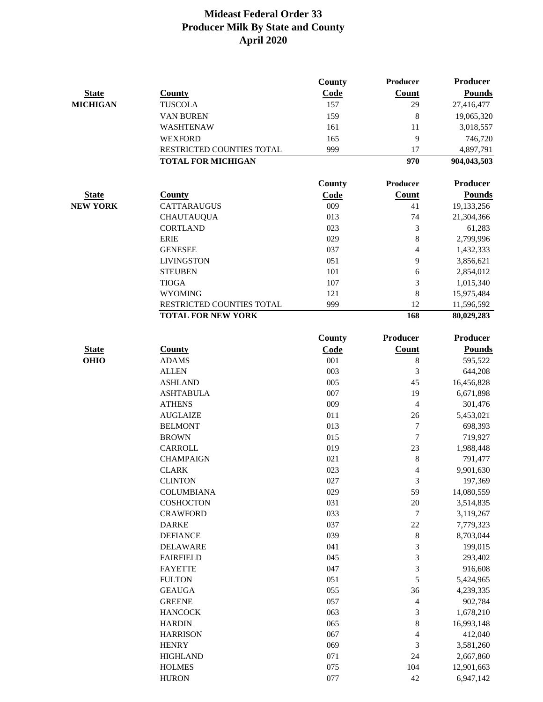|                 |                           | <b>County</b> | Producer        | Producer        |
|-----------------|---------------------------|---------------|-----------------|-----------------|
| <b>State</b>    | <b>County</b>             | Code          | Count           | <b>Pounds</b>   |
| <b>MICHIGAN</b> | <b>TUSCOLA</b>            | 157           | 29              | 27,416,477      |
|                 | VAN BUREN                 | 159           | 8               | 19,065,320      |
|                 | WASHTENAW                 | 161           | 11              | 3,018,557       |
|                 | <b>WEXFORD</b>            | 165           | 9               | 746,720         |
|                 | RESTRICTED COUNTIES TOTAL | 999           | 17              | 4,897,791       |
|                 | <b>TOTAL FOR MICHIGAN</b> |               | 970             | 904,043,503     |
|                 |                           |               |                 |                 |
|                 |                           | County        | <b>Producer</b> | <b>Producer</b> |
| <b>State</b>    | <b>County</b>             | Code          | Count           | <b>Pounds</b>   |
| <b>NEW YORK</b> | <b>CATTARAUGUS</b>        | 009           | 41              | 19,133,256      |
|                 | <b>CHAUTAUQUA</b>         | 013           | 74              | 21,304,366      |
|                 | <b>CORTLAND</b>           | 023           | 3               | 61,283          |
|                 | <b>ERIE</b>               | 029           | $\bf 8$         | 2,799,996       |
|                 | <b>GENESEE</b>            | 037           | $\overline{4}$  | 1,432,333       |
|                 | <b>LIVINGSTON</b>         | 051           | 9               | 3,856,621       |
|                 | <b>STEUBEN</b>            | 101           | 6               | 2,854,012       |
|                 | <b>TIOGA</b>              | 107           | 3               | 1,015,340       |
|                 | <b>WYOMING</b>            | 121           | 8               | 15,975,484      |
|                 | RESTRICTED COUNTIES TOTAL | 999           | 12              | 11,596,592      |
|                 | <b>TOTAL FOR NEW YORK</b> |               | 168             | 80,029,283      |
|                 |                           | <b>County</b> | Producer        | <b>Producer</b> |
| <b>State</b>    | <b>County</b>             | Code          | Count           | <b>Pounds</b>   |
| <b>OHIO</b>     | <b>ADAMS</b>              | 001           | 8               | 595,522         |
|                 | <b>ALLEN</b>              | 003           | 3               | 644,208         |
|                 | <b>ASHLAND</b>            | 005           | 45              | 16,456,828      |
|                 | <b>ASHTABULA</b>          | 007           | 19              | 6,671,898       |
|                 | <b>ATHENS</b>             | 009           | 4               | 301,476         |
|                 | <b>AUGLAIZE</b>           | 011           | 26              | 5,453,021       |
|                 | <b>BELMONT</b>            | 013           | 7               | 698,393         |
|                 | <b>BROWN</b>              | 015           | 7               | 719,927         |
|                 | <b>CARROLL</b>            | 019           | 23              | 1,988,448       |
|                 | <b>CHAMPAIGN</b>          | 021           | 8               | 791,477         |
|                 | <b>CLARK</b>              | 023           | 4               | 9,901,630       |
|                 | <b>CLINTON</b>            | 027           | 3               | 197,369         |
|                 | <b>COLUMBIANA</b>         | 029           | 59              | 14,080,559      |
|                 | <b>COSHOCTON</b>          | 031           | $20\,$          | 3,514,835       |
|                 | <b>CRAWFORD</b>           | 033           | 7               | 3,119,267       |
|                 | <b>DARKE</b>              | 037           | 22              | 7,779,323       |
|                 | <b>DEFIANCE</b>           | 039           | 8               | 8,703,044       |
|                 | <b>DELAWARE</b>           | 041           | 3               | 199,015         |
|                 | <b>FAIRFIELD</b>          | 045           | 3               | 293,402         |
|                 | <b>FAYETTE</b>            | 047           | 3               | 916,608         |
|                 | <b>FULTON</b>             | 051           | 5               | 5,424,965       |
|                 | <b>GEAUGA</b>             | 055           | 36              | 4,239,335       |
|                 | <b>GREENE</b>             | 057           | 4               | 902,784         |
|                 | <b>HANCOCK</b>            | 063           | 3               | 1,678,210       |
|                 | <b>HARDIN</b>             | 065           | 8               | 16,993,148      |
|                 | <b>HARRISON</b>           | 067           | 4               | 412,040         |
|                 | <b>HENRY</b>              | 069           | 3               | 3,581,260       |
|                 | <b>HIGHLAND</b>           | 071           | 24              | 2,667,860       |
|                 | <b>HOLMES</b>             | 075           | 104             | 12,901,663      |
|                 | <b>HURON</b>              | 077           | 42              | 6,947,142       |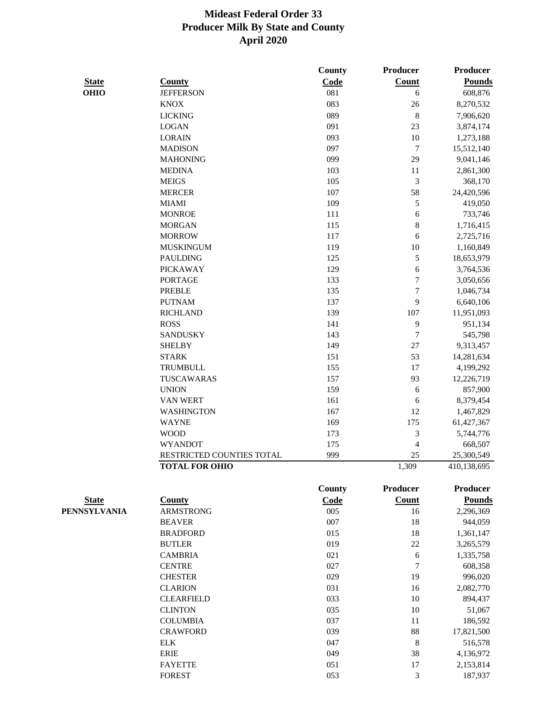|              |                           | County | Producer                 | Producer        |
|--------------|---------------------------|--------|--------------------------|-----------------|
| <b>State</b> | <b>County</b>             | Code   | Count                    | <b>Pounds</b>   |
| <b>OHIO</b>  | <b>JEFFERSON</b>          | 081    | 6                        | 608,876         |
|              | <b>KNOX</b>               | 083    | $26\,$                   | 8,270,532       |
|              | <b>LICKING</b>            | 089    | $\,$ 8 $\,$              | 7,906,620       |
|              | <b>LOGAN</b>              | 091    | 23                       | 3,874,174       |
|              | <b>LORAIN</b>             | 093    | $10\,$                   | 1,273,188       |
|              | <b>MADISON</b>            | 097    | $\boldsymbol{7}$         | 15,512,140      |
|              | <b>MAHONING</b>           | 099    | 29                       | 9,041,146       |
|              | <b>MEDINA</b>             | 103    | 11                       | 2,861,300       |
|              | <b>MEIGS</b>              | 105    | 3                        | 368,170         |
|              | <b>MERCER</b>             | 107    | 58                       | 24,420,596      |
|              | <b>MIAMI</b>              | 109    | 5                        | 419,050         |
|              | <b>MONROE</b>             | 111    | 6                        | 733,746         |
|              | <b>MORGAN</b>             | 115    | 8                        | 1,716,415       |
|              | <b>MORROW</b>             | 117    | 6                        | 2,725,716       |
|              | <b>MUSKINGUM</b>          | 119    | $10\,$                   | 1,160,849       |
|              | <b>PAULDING</b>           | 125    | 5                        | 18,653,979      |
|              | <b>PICKAWAY</b>           | 129    | 6                        | 3,764,536       |
|              | <b>PORTAGE</b>            | 133    | $\boldsymbol{7}$         | 3,050,656       |
|              | <b>PREBLE</b>             | 135    | $\boldsymbol{7}$         | 1,046,734       |
|              | <b>PUTNAM</b>             | 137    | 9                        | 6,640,106       |
|              | <b>RICHLAND</b>           | 139    | 107                      | 11,951,093      |
|              | <b>ROSS</b>               | 141    | 9                        | 951,134         |
|              | <b>SANDUSKY</b>           | 143    | $\boldsymbol{7}$         | 545,798         |
|              | <b>SHELBY</b>             | 149    | $27\,$                   | 9,313,457       |
|              | <b>STARK</b>              | 151    | 53                       | 14,281,634      |
|              | <b>TRUMBULL</b>           | 155    | 17                       | 4,199,292       |
|              | TUSCAWARAS                | 157    | 93                       | 12,226,719      |
|              | <b>UNION</b>              | 159    | 6                        | 857,900         |
|              | <b>VAN WERT</b>           | 161    | 6                        | 8,379,454       |
|              | <b>WASHINGTON</b>         | 167    | 12                       | 1,467,829       |
|              | <b>WAYNE</b>              | 169    | 175                      | 61,427,367      |
|              | <b>WOOD</b>               | 173    | $\mathfrak{Z}$           | 5,744,776       |
|              | <b>WYANDOT</b>            | 175    | $\overline{\mathcal{L}}$ | 668,507         |
|              | RESTRICTED COUNTIES TOTAL | 999    | 25                       | 25,300,549      |
|              | <b>TOTAL FOR OHIO</b>     |        | 1,309                    | 410,138,695     |
|              |                           | County | Producer                 | <b>Producer</b> |
| <b>State</b> | County                    | Code   | <b>Count</b>             | <b>Pounds</b>   |
| PENNSYLVANIA | <b>ARMSTRONG</b>          | 005    | 16                       | 2,296,369       |
|              | <b>BEAVER</b>             | 007    | 18                       | 944,059         |
|              | <b>BRADFORD</b>           | 015    | 18                       | 1,361,147       |
|              | <b>BUTLER</b>             | 019    | $22\,$                   | 3,265,579       |
|              | <b>CAMBRIA</b>            | 021    | $\sqrt{6}$               | 1,335,758       |
|              | <b>CENTRE</b>             | 027    | $\boldsymbol{7}$         | 608,358         |
|              | <b>CHESTER</b>            | 029    | 19                       | 996,020         |
|              | <b>CLARION</b>            | 031    | 16                       | 2,082,770       |
|              | <b>CLEARFIELD</b>         | 033    | $10\,$                   | 894,437         |
|              | <b>CLINTON</b>            | 035    | 10                       | 51,067          |
|              | <b>COLUMBIA</b>           | 037    | 11                       | 186,592         |
|              | <b>CRAWFORD</b>           | 039    | 88                       | 17,821,500      |
|              | <b>ELK</b>                | 047    | $\,$ 8 $\,$              | 516,578         |
|              | <b>ERIE</b>               | 049    | 38                       | 4,136,972       |
|              | <b>FAYETTE</b>            | 051    | 17                       | 2,153,814       |

**FOREST** 053 3 187,937